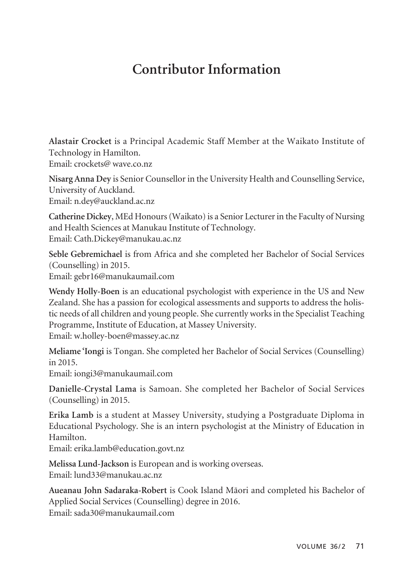## **Contributor Information**

**Alastair Crocket** is a Principal Academic Staff Member at the Waikato Institute of Technology in Hamilton. Email: crockets@ wave.co.nz

**Nisarg Anna Dey** is Senior Counsellor in the University Health and Counselling Service, University of Auckland. Email: n.dey@auckland.ac.nz

**Catherine Dickey**, MEd Honours (Waikato) is a Senior Lecturer in the Faculty of Nursing and Health Sciences at Manukau Institute of Technology. Email: Cath.Dickey@manukau.ac.nz

**Seble Gebremichael** is from Africa and she completed her Bachelor of Social Services (Counselling) in 2015. Email: gebr16@manukaumail.com

**Wendy Holly-Boen** is an educational psychologist with experience in the US and New Zealand. She has a passion for ecological assessments and supports to address the holistic needs of all children and young people. She currently works in the Specialist Teaching Programme, Institute of Education, at Massey University. Email: w.holley-boen@massey.ac.nz

**Meliame 'Iongi** is Tongan. She completed her Bachelor of Social Services (Counselling) in 2015.

Email: iongi3@manukaumail.com

**Danielle-Crystal Lama** is Samoan. She completed her Bachelor of Social Services (Counselling) in 2015.

**Erika Lamb** is a student at Massey University, studying a Postgraduate Diploma in Educational Psychology. She is an intern psychologist at the Ministry of Education in Hamilton.

Email: erika.lamb@education.govt.nz

**Melissa Lund-Jackson** is European and is working overseas.

Email: lund33@ manukau.ac.nz

**Aueanau John Sadaraka-Robert** is Cook Island Mäori and completed his Bachelor of Applied Social Services (Counselling) degree in 2016. Email: sada30@manukaumail.com